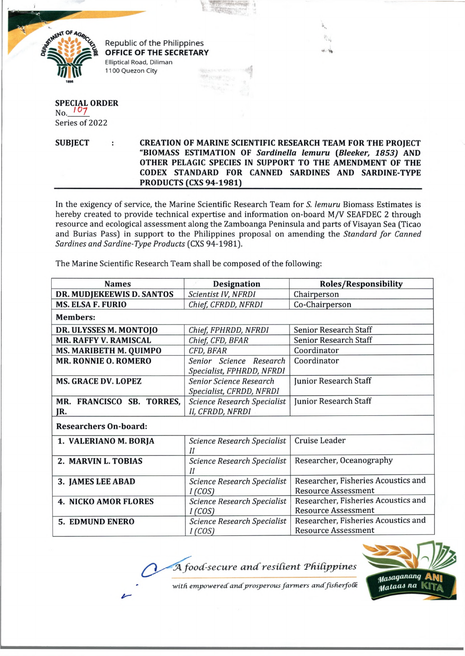

Republic of the Philippines OFFICE OF THE SECRETARY Elliptical Road, Diliman 1100 Quezon City

## **SPECIAL ORDER**  $No. 107$ Series of 2022

**SUBJECT CREATION OF MARINE SCIENTIFIC RESEARCH TEAM FOR THE PROJECT "BIOMASS ESTIMATION OF** *Sardinella lemuru* **(***Bleeker', 1853)* **AND OTHER PELAGIC SPECIES IN SUPPORT TO THE AMENDMENT OF THE CODEX STANDARD FOR CANNED SARDINES AND SARDINE-TYPE** PRODUCTS (CXS 94-1981)

**图片及约成中华** 

 $40.40$ 

In the exigency of service, the Marine Scientific Research Team for *S. lemuru* Biomass Estimates is hereby created to provide technical expertise and information on-board M/V SEAFDEC 2 through resource and ecological assessment along the Zamboanga Peninsula and parts of Visayan Sea (Ticao and Burias Pass) in support to the Philippines proposal on amending the *Standard for Canned Sardines and Sardine-Type Products* (CXS 94-1981).

The Marine Scientific Research Team shall be composed of the following:

| <b>Names</b>                     | <b>Designation</b>                                         | <b>Roles/Responsibility</b>                                       |
|----------------------------------|------------------------------------------------------------|-------------------------------------------------------------------|
| DR. MUDJEKEEWIS D. SANTOS        | Scientist IV, NFRDI                                        | Chairperson                                                       |
| <b>MS. ELSA F. FURIO</b>         | Chief, CFRDD, NFRDI                                        | Co-Chairperson                                                    |
| <b>Members:</b>                  |                                                            |                                                                   |
| DR. ULYSSES M. MONTOJO           | Chief, FPHRDD, NFRDI                                       | <b>Senior Research Staff</b>                                      |
| <b>MR. RAFFY V. RAMISCAL</b>     | Chief, CFD, BFAR                                           | <b>Senior Research Staff</b>                                      |
| MS. MARIBETH M. QUIMPO           | CFD, BFAR                                                  | Coordinator                                                       |
| <b>MR. RONNIE O. ROMERO</b>      | Senior Science Research<br>Specialist, FPHRDD, NFRDI       | Coordinator                                                       |
| <b>MS. GRACE DV. LOPEZ</b>       | <b>Senior Science Research</b><br>Specialist, CFRDD, NFRDI | Junior Research Staff                                             |
| MR. FRANCISCO SB. TORRES,<br>JR. | <b>Science Research Specialist</b><br>II, CFRDD, NFRDI     | Junior Research Staff                                             |
| <b>Researchers On-board:</b>     |                                                            |                                                                   |
| 1. VALERIANO M. BORJA            | <b>Science Research Specialist</b><br>II                   | Cruise Leader                                                     |
| 2. MARVIN L. TOBIAS              | Science Research Specialist<br>$_{II}$                     | Researcher, Oceanography                                          |
| 3. JAMES LEE ABAD                | Science Research Specialist<br>I(COS)                      | Researcher, Fisheries Acoustics and<br><b>Resource Assessment</b> |
| <b>4. NICKO AMOR FLORES</b>      | <b>Science Research Specialist</b><br>I(COS)               | Researcher, Fisheries Acoustics and<br><b>Resource Assessment</b> |
| <b>5. EDMUND ENERO</b>           | <b>Science Research Specialist</b><br>I(COS)               | Researcher, Fisheries Acoustics and<br><b>Resource Assessment</b> |

 $A$  food-secure and resilient Philippines



with empowered and prosperous farmers and fisherfolk